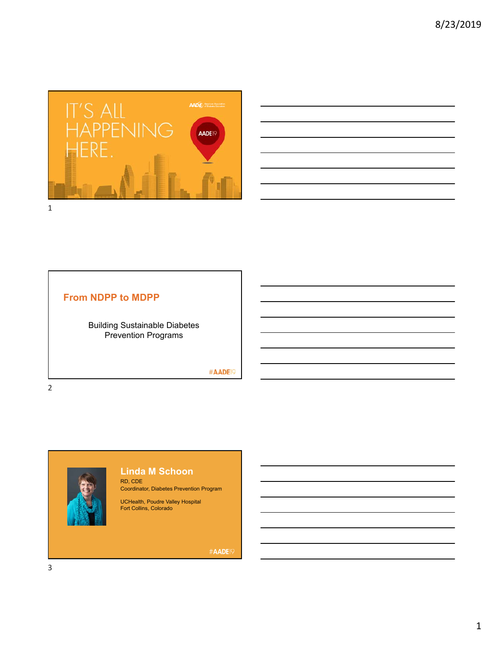

| ,我们的人们就会在这里,我们的人们就会在这里,我们的人们就会在这里,我们的人们就会在这里,我们的人们就会在这里,我们的人们就会在这里,我们的人们就会不会在这里,<br>第一百一十一章 我们的人们的人们,我们的人们的人们的人们,我们的人们的人们的人们,我们的人们的人们,我们的人们的人们,我们的人们的人们,我们的人们的人们,我们的                                                                 |  |          |
|--------------------------------------------------------------------------------------------------------------------------------------------------------------------------------------------------------------------------------------|--|----------|
|                                                                                                                                                                                                                                      |  |          |
| <u>and the contract of the contract of the contract of the contract of the contract of the contract of the contract of the contract of the contract of the contract of the contract of the contract of the contract of the contr</u> |  |          |
|                                                                                                                                                                                                                                      |  |          |
| <u> Alexander de la contrada de la contrada de la contrada de la contrada de la contrada de la contrada de la con</u>                                                                                                                |  | ________ |
| <b>在这里的一个人,我们的人们也不能</b> 是一个人的人,我们的人们就是一个人的人,我们的人们就是一个人的人,我们的人们就是一个人的人,我们的人们就是一个人的人,我们的人                                                                                                                                              |  |          |
| ,我们也不会有一个人的事情。""我们的人们,我们也不会有一个人的人,我们也不会有一个人的人,我们也不会有一个人的人,我们也不会有一个人的人,我们也不会有一个人的<br>第一百一十一章 我们的人,我们的人们的人们,我们的人们的人们的人们,我们的人们的人们的人们,我们的人们的人们,我们的人们的人们,我们的人们的人们,我们的人们的人                                                                 |  |          |

# **From NDPP to MDPP**

Building Sustainable Diabetes Prevention Programs

#AADE<sup>19</sup>

2



#### **Linda M Schoon** RD, CDE

Coordinator, Diabetes Prevention Program

UCHealth, Poudre Valley Hospital Fort Collins, Colorado

#AADE<sup>19</sup>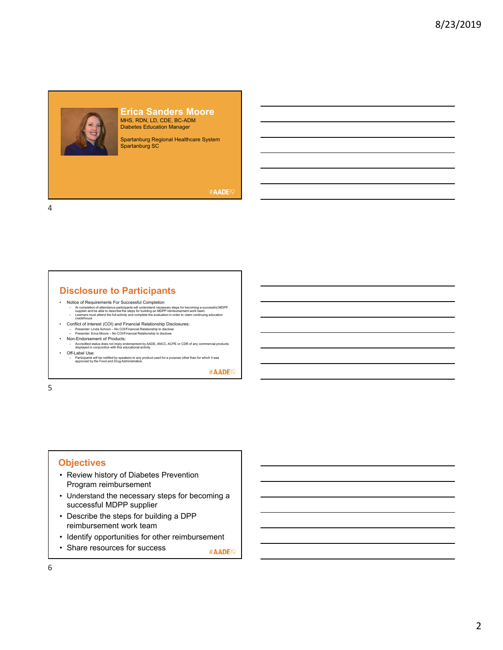## **Erica Sanders Moore** MHS, RDN, LD, CDE, BC-ADM Diabetes Education Manager

Spartanburg Regional Healthcare System Spartanburg SC

#### #AADE<sup>19</sup>

4

## **Disclosure to Participants**

- 
- Notice of Requirements For Successful Completion<br>- A tompletion ditendance participants will understand necessary steps for becoming a successful MDPP<br>supplier and be able to describe the steps for building an MDPP reimb
- 
- Conflict of Interest (COI) and Financial Relationship Disclosures:<br>- Presenter: Linda Schoon No COl/Financial Relationship to disclose<br>- Presenter: Erica Moore No COl/Financial Relationship to disclose<br>• Non-Endorsem
	-
	- Accredited status does not imply endorsement by AADE, ANCC, ACPE or CDR of any commercial products displayed in conjunction with this educational activity
- Off-Label Use: Participants will be notified by speakers to any product used for a purpose other than for which it was approved by the Food and Drug Administration.

#AADE<sup>19</sup>

5

#### **Objectives**

- Review history of Diabetes Prevention Program reimbursement
- Understand the necessary steps for becoming a successful MDPP supplier
- Describe the steps for building a DPP reimbursement work team
- Identify opportunities for other reimbursement
- Share resources for success #AADE<sup>19</sup>

6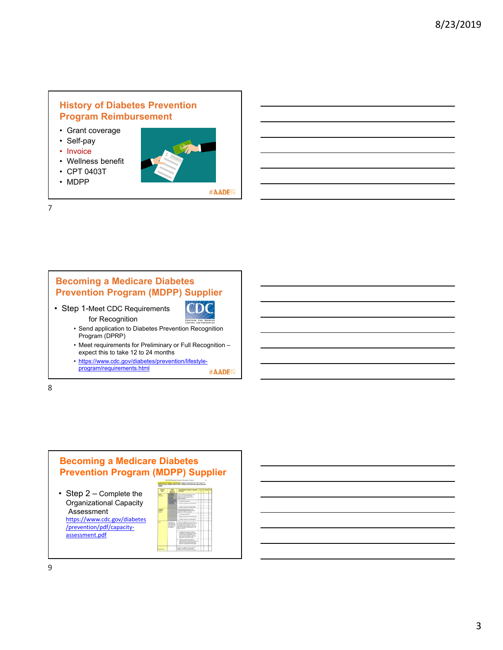### **History of Diabetes Prevention Program Reimbursement**

- Grant coverage
- Self-pay
- Invoice
- Wellness benefit
- CPT 0403T
- MDPP



#AADE<sup>19</sup>

7

#### **Becoming a Medicare Diabetes Prevention Program (MDPP) Supplier** CDC • Step 1-Meet CDC Requirements for Recognition • Send application to Diabetes Prevention Recognition Program (DPRP) • Meet requirements for Preliminary or Full Recognition – expect this to take 12 to 24 months • https://www.cdc.gov/diabetes/prevention/lifestyle-

program/requirements.html #AADE<sup>19</sup>

8



Assessment https://www.cdc.gov/diabetes /prevention/pdf/capacity‐ assessment.pdf

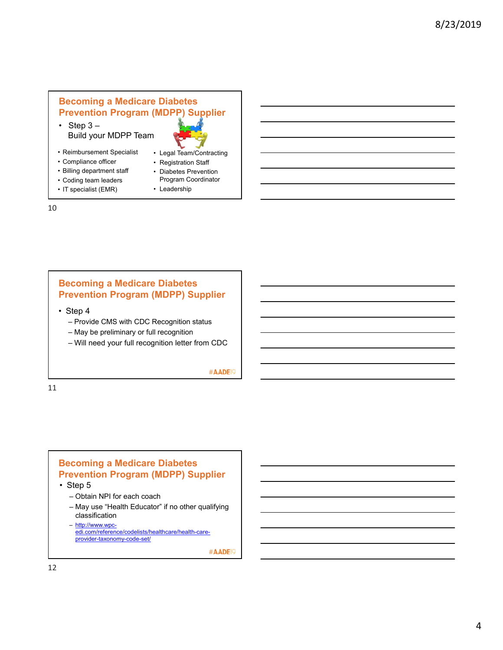# **Becoming a Medicare Diabetes Prevention Program (MDPP) Supplier**

• Step  $3 -$ Build your MDPP Team



• Registration Staff • Diabetes Prevention Program Coordinator

• Leadership

- Reimbursement Specialist
- Compliance officer
- Billing department staff
- Coding team leaders
- IT specialist (EMR)
- 10

## **Becoming a Medicare Diabetes Prevention Program (MDPP) Supplier**

- Step 4
	- Provide CMS with CDC Recognition status
	- May be preliminary or full recognition
	- Will need your full recognition letter from CDC

#AADE<sup>19</sup>

11

#### **Becoming a Medicare Diabetes Prevention Program (MDPP) Supplier**

- Step 5
	- Obtain NPI for each coach
	- May use "Health Educator" if no other qualifying classification
	- http://www.wpcedi.com/reference/codelists/healthcare/health-careprovider-taxonomy-code-set/

#AADE<sup>19</sup>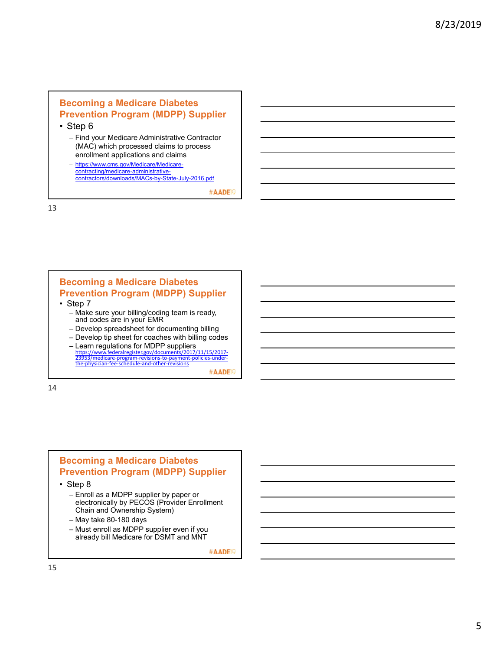## **Becoming a Medicare Diabetes Prevention Program (MDPP) Supplier**

• Step 6

– Find your Medicare Administrative Contractor (MAC) which processed claims to process enrollment applications and claims

– https://www.cms.gov/Medicare/Medicarecontracting/medicare-administrativecontractors/downloads/MACs-by-State-July-2016.pdf

#AADE<sup>19</sup>

13

#### **Becoming a Medicare Diabetes Prevention Program (MDPP) Supplier**

- Step 7
	- Make sure your billing/coding team is ready, and codes are in your EMR
	- Develop spreadsheet for documenting billing
	- Develop tip sheet for coaches with billing codes – Learn regulations for MDPP suppliers
	- https://www.federalregister.gov/documents/2017/11/15/2017‐ 23953/medicare‐program‐revisions‐to‐payment‐policies‐under‐ the‐physician‐fee‐schedule‐and‐other‐revisions #AADE<sup>19</sup>

14

## **Becoming a Medicare Diabetes Prevention Program (MDPP) Supplier**

- Step 8
	- Enroll as a MDPP supplier by paper or electronically by PECOS (Provider Enrollment Chain and Ownership System)
	- May take 80-180 days
	- Must enroll as MDPP supplier even if you already bill Medicare for DSMT and MNT

#AADE<sup>19</sup>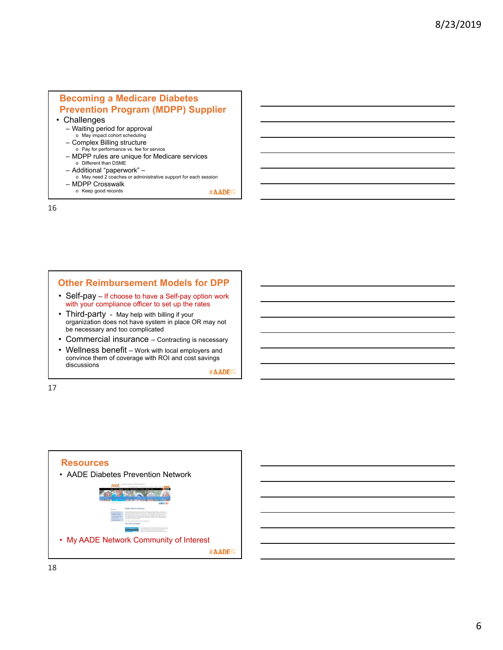# **Becoming a Medicare Diabetes Prevention Program (MDPP) Supplier**

- Challenges
	- Waiting period for approval
	- o May impact cohort scheduling – Complex Billing structure
	- o Pay for performance vs. fee for service
	- MDPP rules are unique for Medicare services o Different than DSME
	- Additional "paperwork" –
	- o May need 2 coaches or administrative support for each session – MDPP Crosswalk
	- o Keep good records

16

### **Other Reimbursement Models for DPP**

- Self-pay If choose to have a Self-pay option work with your compliance officer to set up the rates
- Third-party May help with billing if your organization does not have system in place OR may not be necessary and too complicated
- Commercial insurance Contracting is necessary
- Wellness benefit Work with local employers and convince them of coverage with ROI and cost savings discussions

#AADE<sup>1</sup>

#AADE<sup>1</sup>

17